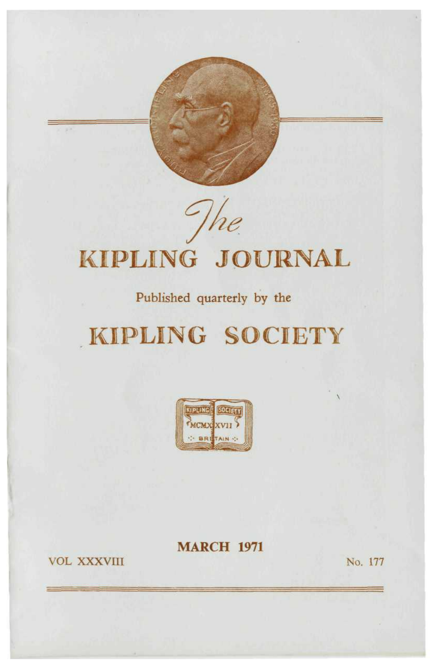# The KIPLING JOURNAL

## Published quarterly by the

## KIPLING SOCIETY



## **MARCH 1971**

**VOL XXXVIII** 

No. 177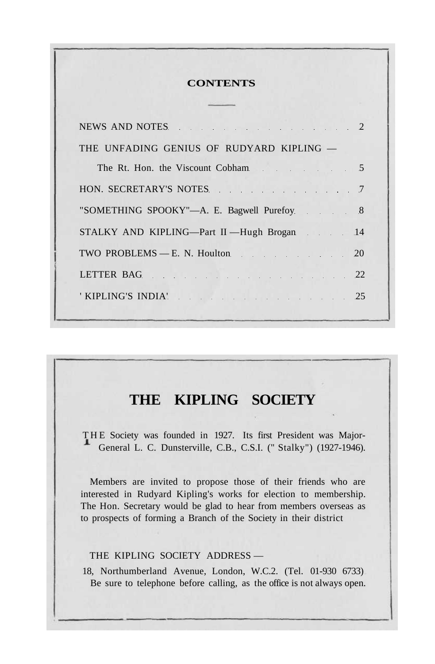#### **CONTENTS**

| NEWS AND NOTES 2                           |
|--------------------------------------------|
| THE UNFADING GENIUS OF RUDYARD KIPLING $-$ |
| The Rt. Hon. the Viscount Cobham 5         |
| HON. SECRETARY'S NOTES 7                   |
| "SOMETHING SPOOKY"-A. E. Bagwell Purefoy 8 |
| STALKY AND KIPLING—Part II —Hugh Brogan 14 |
| TWO PROBLEMS - E. N. Houlton. 20           |
| LETTER BAG 22                              |
| KIPLING'S INDIA' 25                        |
|                                            |

## **THE KIPLING SOCIETY**

THE Society was founded in 1927. Its first President was Major-General L. C. Dunsterville, C.B., C.S.I. (" Stalky") (1927-1946).

Members are invited to propose those of their friends who are interested in Rudyard Kipling's works for election to membership. The Hon. Secretary would be glad to hear from members overseas as to prospects of forming a Branch of the Society in their district

#### THE KIPLING SOCIETY ADDRESS —

18, Northumberland Avenue, London, W.C.2. (Tel. 01-930 6733) Be sure to telephone before calling, as the office is not always open.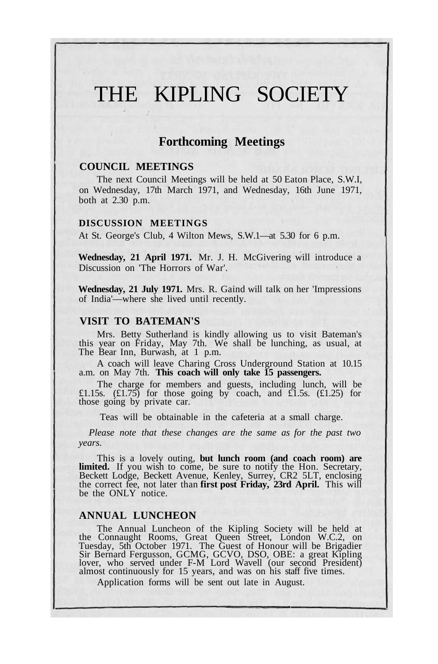## THE KIPLING SOCIETY

#### **Forthcoming Meetings**

#### **COUNCIL MEETINGS**

The next Council Meetings will be held at 50 Eaton Place, S.W.I, on Wednesday, 17th March 1971, and Wednesday, 16th June 1971, both at 2.30 p.m.

#### **DISCUSSION MEETINGS**

At St. George's Club, 4 Wilton Mews, S.W.1—at 5.30 for 6 p.m.

**Wednesday, 21 April 1971.** Mr. J. H. McGivering will introduce a Discussion on 'The Horrors of War'.

**Wednesday, 21 July 1971.** Mrs. R. Gaind will talk on her 'Impressions of India'—where she lived until recently.

#### **VISIT TO BATEMAN'S**

Mrs. Betty Sutherland is kindly allowing us to visit Bateman's this year on Friday, May 7th. We shall be lunching, as usual, at The Bear Inn, Burwash, at 1 p.m.

A coach will leave Charing Cross Underground Station at 10.15 a.m. on May 7th. **This coach will only take 15 passengers.**

The charge for members and guests, including lunch, will be £1.15s.  $(E1.75)$  for those going by coach, and £1.5s.  $(E1.25)$  for those going by private car.

Teas will be obtainable in the cafeteria at a small charge.

*Please note that these changes are the same as for the past two years.*

This is a lovely outing, **but lunch room (and coach room) are limited.** If you wish to come, be sure to notify the Hon. Secretary, Beckett Lodge, Beckett Avenue, Kenley, Surrey, CR2 5LT, enclosing the correct fee, not later than **first post Friday, 23rd April.** This will be the ONLY notice.

#### **ANNUAL LUNCHEON**

The Annual Luncheon of the Kipling Society will be held at the Connaught Rooms, Great Queen Street, London W.C.2, on Tuesday, 5th October 1971. The Guest of Honour will be Brigadier Sir Bernard Fergusson, GCMG, GCVO, DSO, OBE: a great Kipling lover, who served under F-M Lord Wavell (our second President) almost continuously for 15 years, and was on his staff five times.

Application forms will be sent out late in August.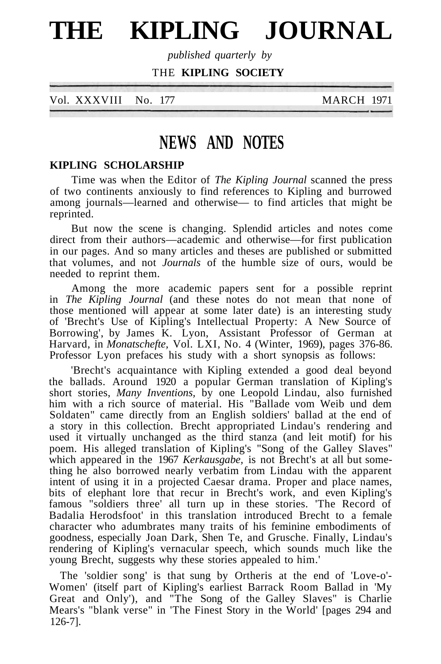# **THE KIPLING JOURNAL**

*published quarterly by*

THE **KIPLING SOCIETY**

| Vol. XXXVIII | No. 177 |  |
|--------------|---------|--|
|              |         |  |

**MARCH 1971** 

## **NEWS AND NOTES**

#### **KIPLING SCHOLARSHIP**

Time was when the Editor of *The Kipling Journal* scanned the press of two continents anxiously to find references to Kipling and burrowed among journals—learned and otherwise— to find articles that might be reprinted.

But now the scene is changing. Splendid articles and notes come direct from their authors—academic and otherwise—for first publication in our pages. And so many articles and theses are published or submitted that volumes, and not *Journals* of the humble size of ours, would be needed to reprint them.

Among the more academic papers sent for a possible reprint in *The Kipling Journal* (and these notes do not mean that none of those mentioned will appear at some later date) is an interesting study of 'Brecht's Use of Kipling's Intellectual Property: A New Source of Borrowing', by James K. Lyon, Assistant Professor of German at Harvard, in *Monatschefte,* Vol. LXI, No. 4 (Winter, 1969), pages 376-86. Professor Lyon prefaces his study with a short synopsis as follows:

'Brecht's acquaintance with Kipling extended a good deal beyond the ballads. Around 1920 a popular German translation of Kipling's short stories, *Many Inventions,* by one Leopold Lindau, also furnished him with a rich source of material. His "Ballade vom Weib und dem Soldaten" came directly from an English soldiers' ballad at the end of a story in this collection. Brecht appropriated Lindau's rendering and used it virtually unchanged as the third stanza (and leit motif) for his poem. His alleged translation of Kipling's "Song of the Galley Slaves" which appeared in the 1967 Kerkausgabe, is not Brecht's at all but something he also borrowed nearly verbatim from Lindau with the apparent intent of using it in a projected Caesar drama. Proper and place names, bits of elephant lore that recur in Brecht's work, and even Kipling's famous "soldiers three' all turn up in these stories. 'The Record of Badalia Herodsfoot' in this translation introduced Brecht to a female character who adumbrates many traits of his feminine embodiments of goodness, especially Joan Dark, Shen Te, and Grusche. Finally, Lindau's rendering of Kipling's vernacular speech, which sounds much like the young Brecht, suggests why these stories appealed to him.'

The 'soldier song' is that sung by Ortheris at the end of 'Love-o'- Women' (itself part of Kipling's earliest Barrack Room Ballad in 'My Great and Only'), and "The Song of the Galley Slaves" is Charlie Mears's "blank verse" in 'The Finest Story in the World' [pages 294 and 126-7].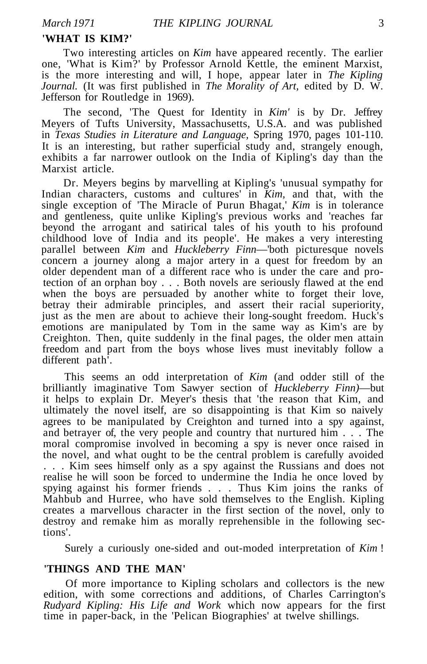#### **'WHAT IS KIM?'**

Two interesting articles on *Kim* have appeared recently. The earlier one, 'What is Kim?' by Professor Arnold Kettle, the eminent Marxist, is the more interesting and will, I hope, appear later in *The Kipling Journal.* (It was first published in *The Morality of Art,* edited by D. W. Jefferson for Routledge in 1969).

The second, 'The Quest for Identity in *Kim'* is by Dr. Jeffrey Meyers of Tufts University, Massachusetts, U.S.A. and was published in *Texas Studies in Literature and Language,* Spring 1970, pages 101-110. It is an interesting, but rather superficial study and, strangely enough, exhibits a far narrower outlook on the India of Kipling's day than the Marxist article.

Dr. Meyers begins by marvelling at Kipling's 'unusual sympathy for Indian characters, customs and cultures' in *Kim,* and that, with the single exception of 'The Miracle of Purun Bhagat,' *Kim* is in tolerance and gentleness, quite unlike Kipling's previous works and 'reaches far beyond the arrogant and satirical tales of his youth to his profound childhood love of India and its people'. He makes a very interesting parallel between *Kim* and *Huckleberry Finn*—'both picturesque novels concern a journey along a major artery in a quest for freedom by an older dependent man of a different race who is under the care and protection of an orphan boy . . . Both novels are seriously flawed at the end when the boys are persuaded by another white to forget their love, betray their admirable principles, and assert their racial superiority, just as the men are about to achieve their long-sought freedom. Huck's emotions are manipulated by Tom in the same way as Kim's are by Creighton. Then, quite suddenly in the final pages, the older men attain freedom and part from the boys whose lives must inevitably follow a different path'.

This seems an odd interpretation of *Kim* (and odder still of the brilliantly imaginative Tom Sawyer section of *Huckleberry Finn)*—but it helps to explain Dr. Meyer's thesis that 'the reason that Kim, and ultimately the novel itself, are so disappointing is that Kim so naively agrees to be manipulated by Creighton and turned into a spy against, and betrayer of, the very people and country that nurtured him . . . The moral compromise involved in becoming a spy is never once raised in the novel, and what ought to be the central problem is carefully avoided . . . Kim sees himself only as a spy against the Russians and does not realise he will soon be forced to undermine the India he once loved by spying against his former friends . . . Thus Kim joins the ranks of Mahbub and Hurree, who have sold themselves to the English. Kipling creates a marvellous character in the first section of the novel, only to destroy and remake him as morally reprehensible in the following sections'.

Surely a curiously one-sided and out-moded interpretation of *Kim* !

#### **'THINGS AND THE MAN'**

Of more importance to Kipling scholars and collectors is the new edition, with some corrections and additions, of Charles Carrington's *Rudyard Kipling: His Life and Work* which now appears for the first time in paper-back, in the 'Pelican Biographies' at twelve shillings.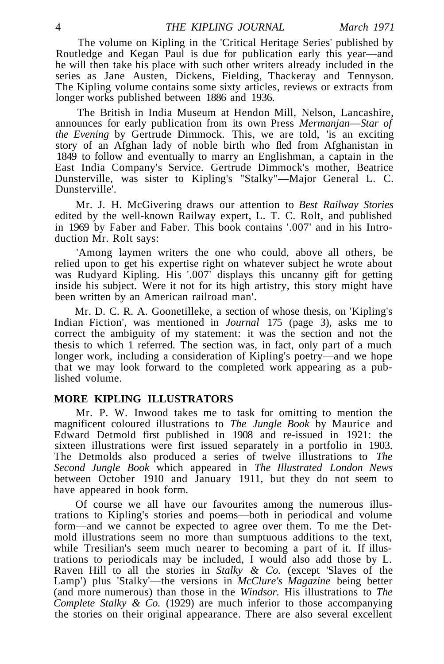The volume on Kipling in the 'Critical Heritage Series' published by Routledge and Kegan Paul is due for publication early this year—and he will then take his place with such other writers already included in the series as Jane Austen, Dickens, Fielding, Thackeray and Tennyson. The Kipling volume contains some sixty articles, reviews or extracts from longer works published between 1886 and 1936.

The British in India Museum at Hendon Mill, Nelson, Lancashire, announces for early publication from its own Press *Mermanjan*—*Star of the Evening* by Gertrude Dimmock. This, we are told, 'is an exciting story of an Afghan lady of noble birth who fled from Afghanistan in 1849 to follow and eventually to marry an Englishman, a captain in the East India Company's Service. Gertrude Dimmock's mother, Beatrice Dunsterville, was sister to Kipling's "Stalky"—Major General L. C. Dunsterville'.

Mr. J. H. McGivering draws our attention to *Best Railway Stories* edited by the well-known Railway expert, L. T. C. Rolt, and published in 1969 by Faber and Faber. This book contains '.007' and in his Introduction Mr. Rolt says:

'Among laymen writers the one who could, above all others, be relied upon to get his expertise right on whatever subject he wrote about was Rudyard Kipling. His '.007' displays this uncanny gift for getting inside his subject. Were it not for its high artistry, this story might have been written by an American railroad man'.

Mr. D. C. R. A. Goonetilleke, a section of whose thesis, on 'Kipling's Indian Fiction', was mentioned in *Journal* 175 (page 3), asks me to correct the ambiguity of my statement: it was the section and not the thesis to which 1 referred. The section was, in fact, only part of a much longer work, including a consideration of Kipling's poetry—and we hope that we may look forward to the completed work appearing as a published volume.

#### **MORE KIPLING ILLUSTRATORS**

Mr. P. W. Inwood takes me to task for omitting to mention the magnificent coloured illustrations to *The Jungle Book* by Maurice and Edward Detmold first published in 1908 and re-issued in 1921: the sixteen illustrations were first issued separately in a portfolio in 1903. The Detmolds also produced a series of twelve illustrations to *The Second Jungle Book* which appeared in *The Illustrated London News* between October 1910 and January 1911, but they do not seem to have appeared in book form.

Of course we all have our favourites among the numerous illustrations to Kipling's stories and poems—both in periodical and volume form—and we cannot be expected to agree over them. To me the Detmold illustrations seem no more than sumptuous additions to the text, while Tresilian's seem much nearer to becoming a part of it. If illustrations to periodicals may be included, I would also add those by L. Raven Hill to all the stories in *Stalky & Co.* (except 'Slaves of the Lamp') plus 'Stalky'—the versions in *McClure's Magazine* being better (and more numerous) than those in the *Windsor.* His illustrations to *The Complete Stalky & Co.* (1929) are much inferior to those accompanying the stories on their original appearance. There are also several excellent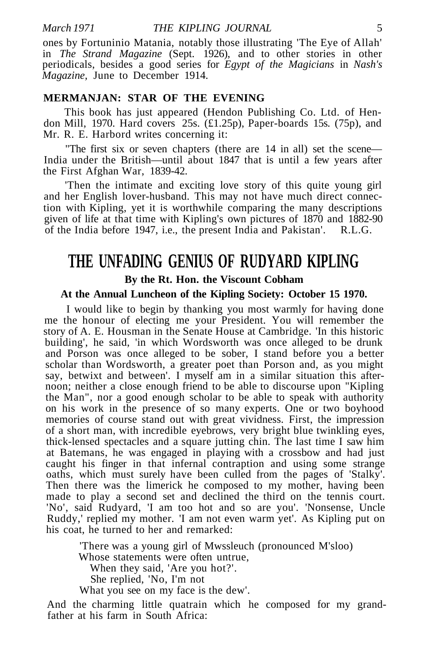ones by Fortuninio Matania, notably those illustrating 'The Eye of Allah' in *The Strand Magazine* (Sept. 1926), and to other stories in other periodicals, besides a good series for *Egypt of the Magicians* in *Nash's Magazine,* June to December 1914.

#### **MERMANJAN: STAR OF THE EVENING**

This book has just appeared (Hendon Publishing Co. Ltd. of Hendon Mill, 1970. Hard covers 25s. (£1.25p), Paper-boards 15s. (75p), and Mr. R. E. Harbord writes concerning it:

"The first six or seven chapters (there are 14 in all) set the scene— India under the British—until about 1847 that is until a few years after the First Afghan War, 1839-42.

'Then the intimate and exciting love story of this quite young girl and her English lover-husband. This may not have much direct connection with Kipling, yet it is worthwhile comparing the many descriptions given of life at that time with Kipling's own pictures of 1870 and 1882-90 of the India before 1947, i.e., the present India and Pakistan'. R.L.G.

## **THE UNFADING GENIUS OF RUDYARD KIPLING By the Rt. Hon. the Viscount Cobham**

#### **At the Annual Luncheon of the Kipling Society: October 15 1970.**

I would like to begin by thanking you most warmly for having done me the honour of electing me your President. You will remember the story of A. E. Housman in the Senate House at Cambridge. 'In this historic building', he said, 'in which Wordsworth was once alleged to be drunk and Porson was once alleged to be sober, I stand before you a better scholar than Wordsworth, a greater poet than Porson and, as you might say, betwixt and between'. I myself am in a similar situation this afternoon; neither a close enough friend to be able to discourse upon "Kipling the Man", nor a good enough scholar to be able to speak with authority on his work in the presence of so many experts. One or two boyhood memories of course stand out with great vividness. First, the impression of a short man, with incredible eyebrows, very bright blue twinkling eyes, thick-lensed spectacles and a square jutting chin. The last time I saw him at Batemans, he was engaged in playing with a crossbow and had just caught his finger in that infernal contraption and using some strange oaths, which must surely have been culled from the pages of 'Stalky'. Then there was the limerick he composed to my mother, having been made to play a second set and declined the third on the tennis court. 'No', said Rudyard, 'I am too hot and so are you'. 'Nonsense, Uncle Ruddy,' replied my mother. 'I am not even warm yet'. As Kipling put on his coat, he turned to her and remarked:

> 'There was a young girl of Mwssleuch (pronounced M'sloo) Whose statements were often untrue, When they said, 'Are you hot?'. She replied, 'No, I'm not What you see on my face is the dew'.

And the charming little quatrain which he composed for my grandfather at his farm in South Africa: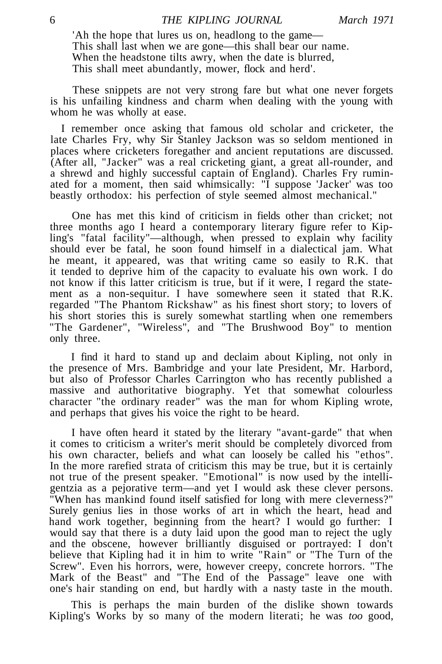'Ah the hope that lures us on, headlong to the game— This shall last when we are gone—this shall bear our name. When the headstone tilts awry, when the date is blurred, This shall meet abundantly, mower, flock and herd'.

These snippets are not very strong fare but what one never forgets is his unfailing kindness and charm when dealing with the young with whom he was wholly at ease.

I remember once asking that famous old scholar and cricketer, the late Charles Fry, why Sir Stanley Jackson was so seldom mentioned in places where cricketers foregather and ancient reputations are discussed. (After all, "Jacker" was a real cricketing giant, a great all-rounder, and a shrewd and highly successful captain of England). Charles Fry ruminated for a moment, then said whimsically: "I suppose 'Jacker' was too beastly orthodox: his perfection of style seemed almost mechanical."

One has met this kind of criticism in fields other than cricket; not three months ago I heard a contemporary literary figure refer to Kipling's "fatal facility"—although, when pressed to explain why facility should ever be fatal, he soon found himself in a dialectical jam. What he meant, it appeared, was that writing came so easily to R.K. that it tended to deprive him of the capacity to evaluate his own work. I do not know if this latter criticism is true, but if it were, I regard the statement as a non-sequitur. I have somewhere seen it stated that R.K. regarded "The Phantom Rickshaw" as his finest short story; to lovers of his short stories this is surely somewhat startling when one remembers "The Gardener", "Wireless", and "The Brushwood Boy" to mention only three.

I find it hard to stand up and declaim about Kipling, not only in the presence of Mrs. Bambridge and your late President, Mr. Harbord, but also of Professor Charles Carrington who has recently published a massive and authoritative biography. Yet that somewhat colourless character "the ordinary reader" was the man for whom Kipling wrote, and perhaps that gives his voice the right to be heard.

I have often heard it stated by the literary "avant-garde" that when it comes to criticism a writer's merit should be completely divorced from his own character, beliefs and what can loosely be called his "ethos". In the more rarefied strata of criticism this may be true, but it is certainly not true of the present speaker. "Emotional" is now used by the intelligentzia as a pejorative term—and yet I would ask these clever persons. "When has mankind found itself satisfied for long with mere cleverness?" Surely genius lies in those works of art in which the heart, head and hand work together, beginning from the heart? I would go further: I would say that there is a duty laid upon the good man to reject the ugly and the obscene, however brilliantly disguised or portrayed: I don't believe that Kipling had it in him to write "Rain" or "The Turn of the Screw". Even his horrors, were, however creepy, concrete horrors. "The Mark of the Beast" and "The End of the Passage" leave one with one's hair standing on end, but hardly with a nasty taste in the mouth.

This is perhaps the main burden of the dislike shown towards Kipling's Works by so many of the modern literati; he was *too* good,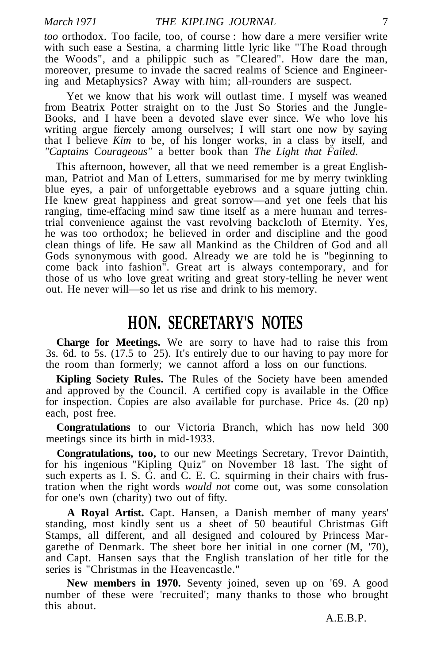*too* orthodox. Too facile, too, of course : how dare a mere versifier write with such ease a Sestina, a charming little lyric like "The Road through the Woods", and a philippic such as "Cleared". How dare the man, moreover, presume to invade the sacred realms of Science and Engineering and Metaphysics? Away with him; all-rounders are suspect.

Yet we know that his work will outlast time. I myself was weaned from Beatrix Potter straight on to the Just So Stories and the Jungle-Books, and I have been a devoted slave ever since. We who love his writing argue fiercely among ourselves; I will start one now by saying that I believe *Kim* to be, of his longer works, in a class by itself, and *"Captains Courageous"* a better book than *The Light that Failed.*

This afternoon, however, all that we need remember is a great Englishman, Patriot and Man of Letters, summarised for me by merry twinkling blue eyes, a pair of unforgettable eyebrows and a square jutting chin. He knew great happiness and great sorrow—and yet one feels that his ranging, time-effacing mind saw time itself as a mere human and terrestrial convenience against the vast revolving backcloth of Eternity. Yes, he was too orthodox; he believed in order and discipline and the good clean things of life. He saw all Mankind as the Children of God and all Gods synonymous with good. Already we are told he is "beginning to come back into fashion". Great art is always contemporary, and for those of us who love great writing and great story-telling he never went out. He never will—so let us rise and drink to his memory.

## **HON. SECRETARY'S NOTES**

**Charge for Meetings.** We are sorry to have had to raise this from 3s. 6d. to 5s. (17.5 to 25). It's entirely due to our having to pay more for the room than formerly; we cannot afford a loss on our functions.

**Kipling Society Rules.** The Rules of the Society have been amended and approved by the Council. A certified copy is available in the Office for inspection. Copies are also available for purchase. Price 4s. (20 np) each, post free.

**Congratulations** to our Victoria Branch, which has now held 300 meetings since its birth in mid-1933.

**Congratulations, too,** to our new Meetings Secretary, Trevor Daintith, for his ingenious "Kipling Quiz" on November 18 last. The sight of such experts as I. S. G. and C. E. C. squirming in their chairs with frustration when the right words *would not* come out, was some consolation for one's own (charity) two out of fifty.

**A Royal Artist.** Capt. Hansen, a Danish member of many years' standing, most kindly sent us a sheet of 50 beautiful Christmas Gift Stamps, all different, and all designed and coloured by Princess Margarethe of Denmark. The sheet bore her initial in one corner (M, '70), and Capt. Hansen says that the English translation of her title for the series is "Christmas in the Heavencastle."

**New members in 1970.** Seventy joined, seven up on '69. A good number of these were 'recruited'; many thanks to those who brought this about.

A.E.B.P.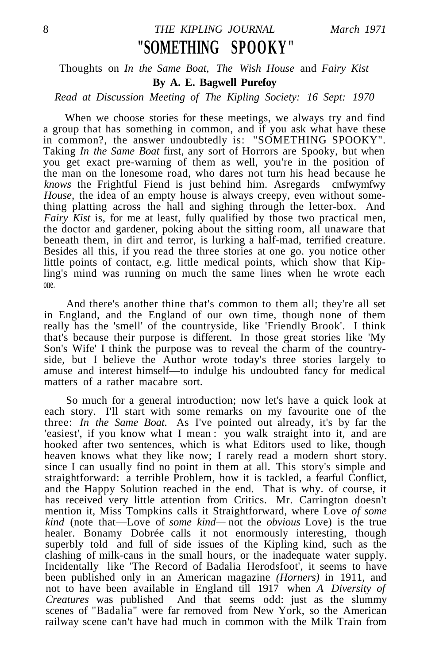## 8 *THE KIPLING JOURNAL March 1971* **"SOMETHING SPOOKY"**

#### Thoughts on *In the Same Boat, The Wish House* and *Fairy Kist* **By A. E. Bagwell Purefoy**

#### *Read at Discussion Meeting of The Kipling Society: 16 Sept: 1970*

When we choose stories for these meetings, we always try and find a group that has something in common, and if you ask what have these in common?, the answer undoubtedly is: "SOMETHING SPOOKY". Taking *In the Same Boat* first, any sort of Horrors are Spooky, but when you get exact pre-warning of them as well, you're in the position of the man on the lonesome road, who dares not turn his head because he *knows* the Frightful Fiend is just behind him. As regards cmfwymfwy *House,* the idea of an empty house is always creepy, even without something platting across the hall and sighing through the letter-box. And *Fairy Kist* is, for me at least, fully qualified by those two practical men, the doctor and gardener, poking about the sitting room, all unaware that beneath them, in dirt and terror, is lurking a half-mad, terrified creature. Besides all this, if you read the three stories at one go. you notice other little points of contact, e.g. little medical points, which show that Kipling's mind was running on much the same lines when he wrote each one.

And there's another thine that's common to them all; they're all set in England, and the England of our own time, though none of them really has the 'smell' of the countryside, like 'Friendly Brook'. I think that's because their purpose is different. In those great stories like 'My Son's Wife' I think the purpose was to reveal the charm of the countryside, but I believe the Author wrote today's three stories largely to amuse and interest himself—to indulge his undoubted fancy for medical matters of a rather macabre sort.

So much for a general introduction; now let's have a quick look at each story. I'll start with some remarks on my favourite one of the three: *In the Same Boat.* As I've pointed out already, it's by far the 'easiest', if you know what I mean : you walk straight into it, and are hooked after two sentences, which is what Editors used to like, though heaven knows what they like now; I rarely read a modern short story. since I can usually find no point in them at all. This story's simple and straightforward: a terrible Problem, how it is tackled, a fearful Conflict, and the Happy Solution reached in the end. That is why. of course, it has received very little attention from Critics. Mr. Carrington doesn't mention it, Miss Tompkins calls it Straightforward, where Love *of some kind* (note that—Love of *some kind—* not the *obvious* Love) is the true healer. Bonamy Dobrée calls it not enormously interesting, though superbly told and full of side issues of the Kipling kind, such as the clashing of milk-cans in the small hours, or the inadequate water supply. Incidentally like 'The Record of Badalia Herodsfoot', it seems to have been published only in an American magazine *(Horners)* in 1911, and not to have been available in England till 1917 when *A Diversity of Creatures* was published And that seems odd: just as the slummy scenes of "Badalia" were far removed from New York, so the American railway scene can't have had much in common with the Milk Train from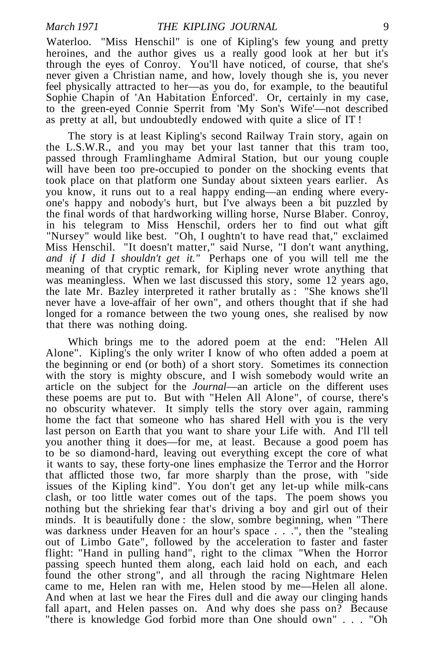Waterloo. "Miss Henschil" is one of Kipling's few young and pretty heroines, and the author gives us a really good look at her but it's through the eyes of Conroy. You'll have noticed, of course, that she's never given a Christian name, and how, lovely though she is, you never feel physically attracted to her—as you do, for example, to the beautiful Sophie Chapin of 'An Habitation Enforced'. Or, certainly in my case, to the green-eyed Connie Sperrit from 'My Son's Wife'—not described as pretty at all, but undoubtedly endowed with quite a slice of IT !

The story is at least Kipling's second Railway Train story, again on the L.S.W.R., and you may bet your last tanner that this tram too, passed through Framlinghame Admiral Station, but our young couple will have been too pre-occupied to ponder on the shocking events that took place on that platform one Sunday about sixteen years earlier. As you know, it runs out to a real happy ending—an ending where everyone's happy and nobody's hurt, but I've always been a bit puzzled by the final words of that hardworking willing horse, Nurse Blaber. Conroy, in his telegram to Miss Henschil, orders her to find out what gift "Nursey" would like best. "Oh, I oughtn't to have read that," exclaimed Miss Henschil. "It doesn't matter," said Nurse, "I don't want anything, *and if I did I shouldn't get it."* Perhaps one of you will tell me the meaning of that cryptic remark, for Kipling never wrote anything that was meaningless. When we last discussed this story, some 12 years ago, the late Mr. Bazley interpreted it rather brutally as : "She knows she'll never have a love-affair of her own", and others thought that if she had longed for a romance between the two young ones, she realised by now that there was nothing doing.

Which brings me to the adored poem at the end: "Helen All Alone". Kipling's the only writer I know of who often added a poem at the beginning or end (or both) of a short story. Sometimes its connection with the story is mighty obscure, and I wish somebody would write an article on the subject for the *Journal*—an article on the different uses these poems are put to. But with "Helen All Alone", of course, there's no obscurity whatever. It simply tells the story over again, ramming home the fact that someone who has shared Hell with you is the very last person on Earth that you want to share your Life with. And I'll tell you another thing it does—for me, at least. Because a good poem has to be so diamond-hard, leaving out everything except the core of what it wants to say, these forty-one lines emphasize the Terror and the Horror that afflicted those two, far more sharply than the prose, with "side issues of the Kipling kind". You don't get any let-up while milk-cans clash, or too little water comes out of the taps. The poem shows you nothing but the shrieking fear that's driving a boy and girl out of their minds. It is beautifully done : the slow, sombre beginning, when "There was darkness under Heaven for an hour's space . . .", then the "stealing out of Limbo Gate", followed by the acceleration to faster and faster flight: "Hand in pulling hand", right to the climax "When the Horror passing speech hunted them along, each laid hold on each, and each found the other strong", and all through the racing Nightmare Helen came to me, Helen ran with me, Helen stood by me—Helen all alone. And when at last we hear the Fires dull and die away our clinging hands fall apart, and Helen passes on. And why does she pass on? Because "there is knowledge God forbid more than One should own" . . . "Oh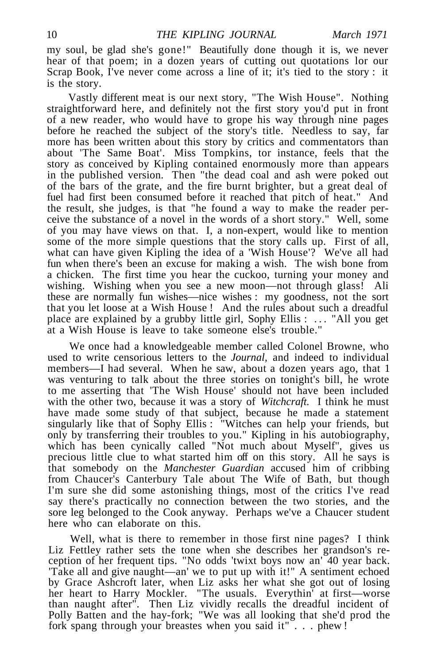my soul, be glad she's gone!" Beautifully done though it is, we never hear of that poem; in a dozen years of cutting out quotations lor our Scrap Book, I've never come across a line of it; it's tied to the story : it is the story.

Vastly different meat is our next story, "The Wish House". Nothing straightforward here, and definitely not the first story you'd put in front of a new reader, who would have to grope his way through nine pages before he reached the subject of the story's title. Needless to say, far more has been written about this story by critics and commentators than about 'The Same Boat'. Miss Tompkins, tor instance, feels that the story as conceived by Kipling contained enormously more than appears in the published version. Then "the dead coal and ash were poked out of the bars of the grate, and the fire burnt brighter, but a great deal of fuel had first been consumed before it reached that pitch of heat." And the result, she judges, is that "he found a way to make the reader perceive the substance of a novel in the words of a short story." Well, some of you may have views on that. I, a non-expert, would like to mention some of the more simple questions that the story calls up. First of all, what can have given Kipling the idea of a 'Wish House'? We've all had fun when there's been an excuse for making a wish. The wish bone from a chicken. The first time you hear the cuckoo, turning your money and wishing. Wishing when you see a new moon—not through glass! Ali these are normally fun wishes—nice wishes : my goodness, not the sort that you let loose at a Wish House ! And the rules about such a dreadful place are explained by a grubby little girl, Sophy Ellis : .. . "All you get at a Wish House is leave to take someone else's trouble."

We once had a knowledgeable member called Colonel Browne, who used to write censorious letters to the *Journal,* and indeed to individual members—I had several. When he saw, about a dozen years ago, that 1 was venturing to talk about the three stories on tonight's bill, he wrote to me asserting that 'The Wish House' should not have been included with the other two, because it was a story of *Witchcraft.* I think he must have made some study of that subject, because he made a statement singularly like that of Sophy Ellis : "Witches can help your friends, but only by transferring their troubles to you." Kipling in his autobiography, which has been cynically called "Not much about Myself", gives us precious little clue to what started him off on this story. All he says is that somebody on the *Manchester Guardian* accused him of cribbing from Chaucer's Canterbury Tale about The Wife of Bath, but though I'm sure she did some astonishing things, most of the critics I've read say there's practically no connection between the two stories, and the sore leg belonged to the Cook anyway. Perhaps we've a Chaucer student here who can elaborate on this.

Well, what is there to remember in those first nine pages? I think Liz Fettley rather sets the tone when she describes her grandson's reception of her frequent tips. "No odds 'twixt boys now an' 40 year back. 'Take all and give naught—an' we to put up with it!" A sentiment echoed by Grace Ashcroft later, when Liz asks her what she got out of losing her heart to Harry Mockler. "The usuals. Everythin' at first—worse than naught after". Then Liz vividly recalls the dreadful incident of Polly Batten and the hay-fork; "We was all looking that she'd prod the fork spang through your breastes when you said it" . . . phew !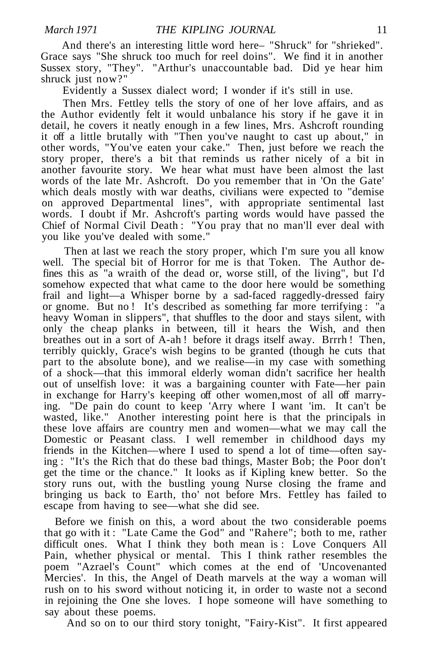And there's an interesting little word here– "Shruck" for "shrieked". Grace says "She shruck too much for reel doins". We find it in another Sussex story, "They". "Arthur's unaccountable bad. Did ye hear him shruck just now?"

Evidently a Sussex dialect word; I wonder if it's still in use.

Then Mrs. Fettley tells the story of one of her love affairs, and as the Author evidently felt it would unbalance his story if he gave it in detail, he covers it neatly enough in a few lines, Mrs. Ashcroft rounding it off a little brutally with "Then you've naught to cast up about," in other words, "You've eaten your cake." Then, just before we reach the story proper, there's a bit that reminds us rather nicely of a bit in another favourite story. We hear what must have been almost the last words of the late Mr. Ashcroft. Do you remember that in 'On the Gate' which deals mostly with war deaths, civilians were expected to "demise on approved Departmental lines", with appropriate sentimental last words. I doubt if Mr. Ashcroft's parting words would have passed the Chief of Normal Civil Death : "You pray that no man'll ever deal with you like you've dealed with some."

Then at last we reach the story proper, which I'm sure you all know well. The special bit of Horror for me is that Token. The Author defines this as "a wraith of the dead or, worse still, of the living", but I'd somehow expected that what came to the door here would be something frail and light—a Whisper borne by a sad-faced raggedly-dressed fairy or gnome. But no ! It's described as something far more terrifying : "a heavy Woman in slippers", that shuffles to the door and stays silent, with only the cheap planks in between, till it hears the Wish, and then breathes out in a sort of A-ah ! before it drags itself away. Brrrh ! Then, terribly quickly, Grace's wish begins to be granted (though he cuts that part to the absolute bone), and we realise—in my case with something of a shock—that this immoral elderly woman didn't sacrifice her health out of unselfish love: it was a bargaining counter with Fate—her pain in exchange for Harry's keeping off other women,most of all off marrying. "De pain do count to keep 'Arry where I want 'im. It can't be wasted, like." Another interesting point here is that the principals in these love affairs are country men and women—what we may call the Domestic or Peasant class. I well remember in childhood days my friends in the Kitchen—where I used to spend a lot of time—often saying : "It's the Rich that do these bad things, Master Bob; the Poor don't get the time or the chance." It looks as if Kipling knew better. So the story runs out, with the bustling young Nurse closing the frame and bringing us back to Earth, tho' not before Mrs. Fettley has failed to escape from having to see—what she did see.

Before we finish on this, a word about the two considerable poems that go with it : "Late Came the God" and "Rahere"; both to me, rather difficult ones. What I think they both mean is : Love Conquers All Pain, whether physical or mental. This I think rather resembles the poem "Azrael's Count" which comes at the end of 'Uncovenanted Mercies'. In this, the Angel of Death marvels at the way a woman will rush on to his sword without noticing it, in order to waste not a second in rejoining the One she loves. I hope someone will have something to say about these poems.

And so on to our third story tonight, "Fairy-Kist". It first appeared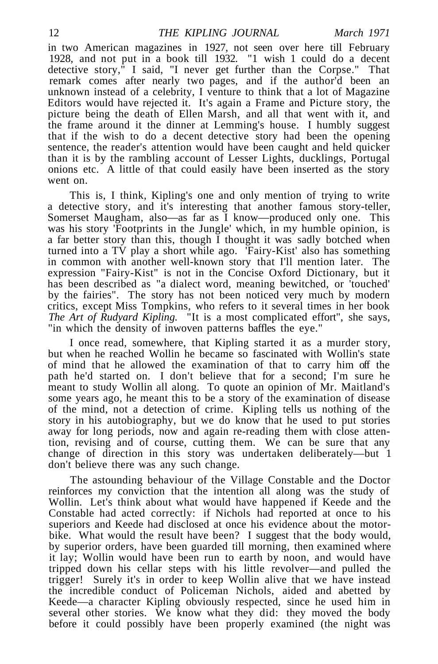in two American magazines in 1927, not seen over here till February 1928, and not put in a book till 1932. "1 wish 1 could do a decent detective story," I said, "I never get further than the Corpse." That remark comes after nearly two pages, and if the author'd been an unknown instead of a celebrity, I venture to think that a lot of Magazine Editors would have rejected it. It's again a Frame and Picture story, the picture being the death of Ellen Marsh, and all that went with it, and the frame around it the dinner at Lemming's house. I humbly suggest that if the wish to do a decent detective story had been the opening sentence, the reader's attention would have been caught and held quicker than it is by the rambling account of Lesser Lights, ducklings, Portugal onions etc. A little of that could easily have been inserted as the story went on.

This is, I think, Kipling's one and only mention of trying to write a detective story, and it's interesting that another famous story-teller, Somerset Maugham, also—as far as I know—produced only one. This was his story 'Footprints in the Jungle' which, in my humble opinion, is a far better story than this, though I thought it was sadly botched when turned into a TV play a short while ago. 'Fairy-Kist' also has something in common with another well-known story that I'll mention later. The expression "Fairy-Kist" is not in the Concise Oxford Dictionary, but it has been described as "a dialect word, meaning bewitched, or 'touched' by the fairies". The story has not been noticed very much by modern critics, except Miss Tompkins, who refers to it several times in her book *The Art of Rudyard Kipling.* "It is a most complicated effort", she says, "in which the density of inwoven patterns baffles the eye."

I once read, somewhere, that Kipling started it as a murder story, but when he reached Wollin he became so fascinated with Wollin's state of mind that he allowed the examination of that to carry him off the path he'd started on. I don't believe that for a second; I'm sure he meant to study Wollin all along. To quote an opinion of Mr. Maitland's some years ago, he meant this to be a story of the examination of disease of the mind, not a detection of crime. Kipling tells us nothing of the story in his autobiography, but we do know that he used to put stories away for long periods, now and again re-reading them with close attention, revising and of course, cutting them. We can be sure that any change of direction in this story was undertaken deliberately—but 1 don't believe there was any such change.

The astounding behaviour of the Village Constable and the Doctor reinforces my conviction that the intention all along was the study of Wollin. Let's think about what would have happened if Keede and the Constable had acted correctly: if Nichols had reported at once to his superiors and Keede had disclosed at once his evidence about the motorbike. What would the result have been? I suggest that the body would, by superior orders, have been guarded till morning, then examined where it lay; Wollin would have been run to earth by noon, and would have tripped down his cellar steps with his little revolver—and pulled the trigger! Surely it's in order to keep Wollin alive that we have instead the incredible conduct of Policeman Nichols, aided and abetted by Keede—a character Kipling obviously respected, since he used him in several other stories. We know what they did: they moved the body before it could possibly have been properly examined (the night was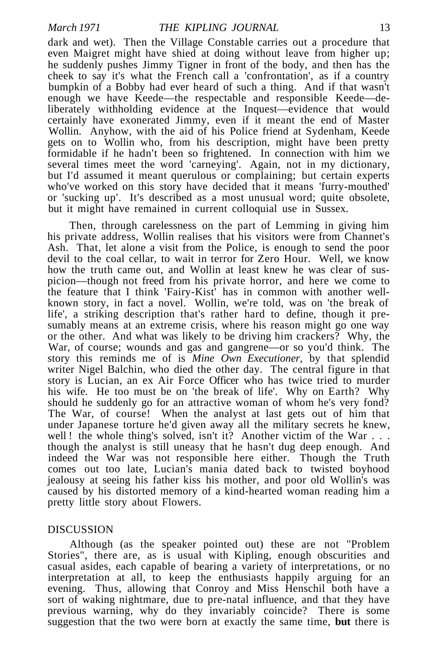dark and wet). Then the Village Constable carries out a procedure that even Maigret might have shied at doing without leave from higher up; he suddenly pushes Jimmy Tigner in front of the body, and then has the cheek to say it's what the French call a 'confrontation', as if a country bumpkin of a Bobby had ever heard of such a thing. And if that wasn't enough we have Keede—the respectable and responsible Keede—deliberately withholding evidence at the Inquest—evidence that would certainly have exonerated Jimmy, even if it meant the end of Master Wollin. Anyhow, with the aid of his Police friend at Sydenham, Keede gets on to Wollin who, from his description, might have been pretty formidable if he hadn't been so frightened. In connection with him we several times meet the word 'carneying'. Again, not in my dictionary, but I'd assumed it meant querulous or complaining; but certain experts who've worked on this story have decided that it means 'furry-mouthed' or 'sucking up'. It's described as a most unusual word; quite obsolete, but it might have remained in current colloquial use in Sussex.

Then, through carelessness on the part of Lemming in giving him his private address, Wollin realises that his visitors were from Channet's Ash. That, let alone a visit from the Police, is enough to send the poor devil to the coal cellar, to wait in terror for Zero Hour. Well, we know how the truth came out, and Wollin at least knew he was clear of suspicion—though not freed from his private horror, and here we come to the feature that I think 'Fairy-Kist' has in common with another wellknown story, in fact a novel. Wollin, we're told, was on 'the break of life', a striking description that's rather hard to define, though it presumably means at an extreme crisis, where his reason might go one way or the other. And what was likely to be driving him crackers? Why, the War, of course; wounds and gas and gangrene—or so you'd think. The story this reminds me of is *Mine Own Executioner,* by that splendid writer Nigel Balchin, who died the other day. The central figure in that story is Lucian, an ex Air Force Officer who has twice tried to murder his wife. He too must be on 'the break of life'. Why on Earth? Why should he suddenly go for an attractive woman of whom he's very fond? The War, of course! When the analyst at last gets out of him that under Japanese torture he'd given away all the military secrets he knew, well ! the whole thing's solved, isn't it? Another victim of the War . . . though the analyst is still uneasy that he hasn't dug deep enough. And indeed the War was not responsible here either. Though the Truth comes out too late, Lucian's mania dated back to twisted boyhood jealousy at seeing his father kiss his mother, and poor old Wollin's was caused by his distorted memory of a kind-hearted woman reading him a pretty little story about Flowers.

#### DISCUSSION

Although (as the speaker pointed out) these are not "Problem Stories", there are, as is usual with Kipling, enough obscurities and casual asides, each capable of bearing a variety of interpretations, or no interpretation at all, to keep the enthusiasts happily arguing for an evening. Thus, allowing that Conroy and Miss Henschil both have a sort of waking nightmare, due to pre-natal influence, and that they have previous warning, why do they invariably coincide? There is some suggestion that the two were born at exactly the same time, **but** there is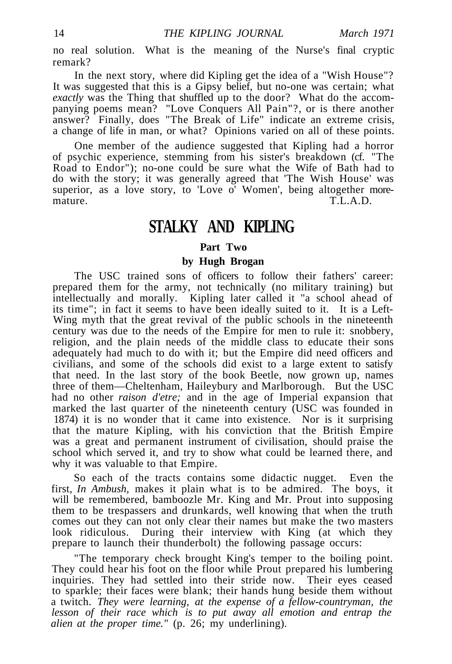no real solution. What is the meaning of the Nurse's final cryptic remark?

In the next story, where did Kipling get the idea of a "Wish House"? It was suggested that this is a Gipsy belief, but no-one was certain; what *exactly* was the Thing that shuffled up to the door? What do the accompanying poems mean? "Love Conquers All Pain"?, or is there another answer? Finally, does "The Break of Life" indicate an extreme crisis, a change of life in man, or what? Opinions varied on all of these points.

One member of the audience suggested that Kipling had a horror of psychic experience, stemming from his sister's breakdown (cf. "The Road to Endor"); no-one could be sure what the Wife of Bath had to do with the story; it was generally agreed that 'The Wish House' was superior, as a love story, to 'Love o' Women', being altogether moremature. T.L.A.D.

## **STALKY AND KIPLING**

#### **Part Two**

#### **by Hugh Brogan**

The USC trained sons of officers to follow their fathers' career: prepared them for the army, not technically (no military training) but intellectually and morally. Kipling later called it "a school ahead of its time"; in fact it seems to have been ideally suited to it. It is a Left-Wing myth that the great revival of the public schools in the nineteenth century was due to the needs of the Empire for men to rule it: snobbery, religion, and the plain needs of the middle class to educate their sons adequately had much to do with it; but the Empire did need officers and civilians, and some of the schools did exist to a large extent to satisfy that need. In the last story of the book Beetle, now grown up, names three of them—Cheltenham, Haileybury and Marlborough. But the USC had no other *raison d'etre;* and in the age of Imperial expansion that marked the last quarter of the nineteenth century (USC was founded in 1874) it is no wonder that it came into existence. Nor is it surprising that the mature Kipling, with his conviction that the British Empire was a great and permanent instrument of civilisation, should praise the school which served it, and try to show what could be learned there, and why it was valuable to that Empire.

So each of the tracts contains some didactic nugget. Even the first, *In Ambush,* makes it plain what is to be admired. The boys, it will be remembered, bamboozle Mr. King and Mr. Prout into supposing them to be trespassers and drunkards, well knowing that when the truth comes out they can not only clear their names but make the two masters look ridiculous. During their interview with King (at which they prepare to launch their thunderbolt) the following passage occurs:

"The temporary check brought King's temper to the boiling point. They could hear his foot on the floor while Prout prepared his lumbering inquiries. They had settled into their stride now. Their eyes ceased to sparkle; their faces were blank; their hands hung beside them without a twitch. *They were learning, at the expense of a fellow-countryman, the lesson of their race which is to put away all emotion and entrap the alien at the proper time."* (p. 26; my underlining).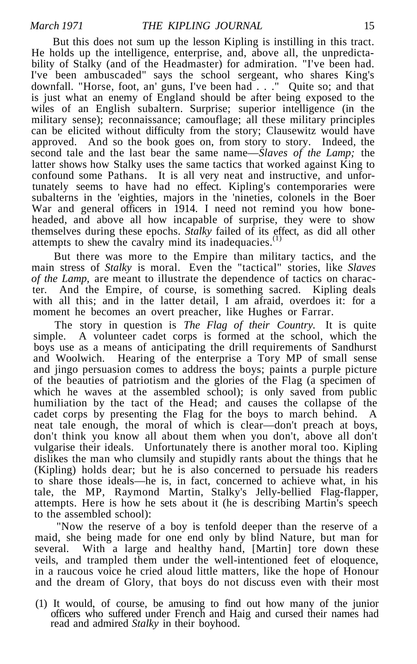But this does not sum up the lesson Kipling is instilling in this tract. He holds up the intelligence, enterprise, and, above all, the unpredictability of Stalky (and of the Headmaster) for admiration. "I've been had. I've been ambuscaded" says the school sergeant, who shares King's downfall. "Horse, foot, an' guns, I've been had . . ." Quite so; and that is just what an enemy of England should be after being exposed to the wiles of an English subaltern. Surprise; superior intelligence (in the military sense); reconnaissance; camouflage; all these military principles can be elicited without difficulty from the story; Clausewitz would have approved. And so the book goes on, from story to story. Indeed, the second tale and the last bear the same name—*Slaves of the Lamp;* the latter shows how Stalky uses the same tactics that worked against King to confound some Pathans. It is all very neat and instructive, and unfortunately seems to have had no effect. Kipling's contemporaries were subalterns in the 'eighties, majors in the 'nineties, colonels in the Boer War and general officers in 1914. I need not remind you how boneheaded, and above all how incapable of surprise, they were to show themselves during these epochs. *Stalky* failed of its effect, as did all other attempts to shew the cavalry mind its inadequacies.<sup>(1)</sup>

But there was more to the Empire than military tactics, and the main stress of *Stalky* is moral. Even the "tactical" stories, like *Slaves of the Lamp,* are meant to illustrate the dependence of tactics on character. And the Empire, of course, is something sacred. Kipling deals with all this; and in the latter detail, I am afraid, overdoes it: for a moment he becomes an overt preacher, like Hughes or Farrar.

The story in question is *The Flag of their Country.* It is quite simple. A volunteer cadet corps is formed at the school, which the boys use as a means of anticipating the drill requirements of Sandhurst and Woolwich. Hearing of the enterprise a Tory MP of small sense Hearing of the enterprise a Tory MP of small sense and jingo persuasion comes to address the boys; paints a purple picture of the beauties of patriotism and the glories of the Flag (a specimen of which he waves at the assembled school); is only saved from public humiliation by the tact of the Head; and causes the collapse of the cadet corps by presenting the Flag for the boys to march behind. neat tale enough, the moral of which is clear—don't preach at boys, don't think you know all about them when you don't, above all don't vulgarise their ideals. Unfortunately there is another moral too. Kipling dislikes the man who clumsily and stupidly rants about the things that he (Kipling) holds dear; but he is also concerned to persuade his readers to share those ideals—he is, in fact, concerned to achieve what, in his tale, the MP, Raymond Martin, Stalky's Jelly-bellied Flag-flapper, attempts. Here is how he sets about it (he is describing Martin's speech to the assembled school):

"Now the reserve of a boy is tenfold deeper than the reserve of a maid, she being made for one end only by blind Nature, but man for several. With a large and healthy hand, [Martin] tore down these veils, and trampled them under the well-intentioned feet of eloquence, in a raucous voice he cried aloud little matters, like the hope of Honour and the dream of Glory, that boys do not discuss even with their most

(1) It would, of course, be amusing to find out how many of the junior officers who suffered under French and Haig and cursed their names had read and admired *Stalky* in their boyhood.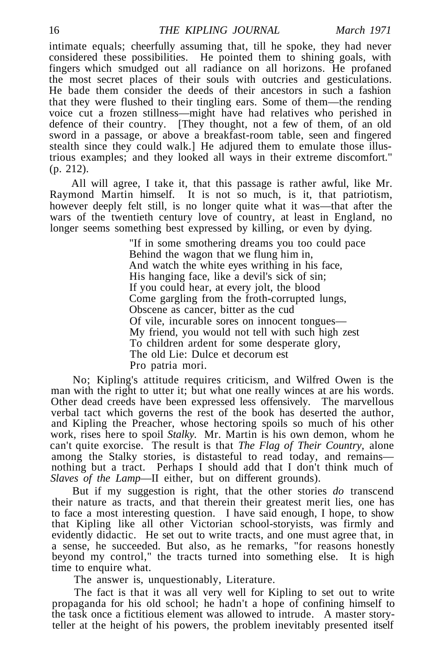intimate equals; cheerfully assuming that, till he spoke, they had never considered these possibilities. He pointed them to shining goals, with fingers which smudged out all radiance on all horizons. He profaned the most secret places of their souls with outcries and gesticulations. He bade them consider the deeds of their ancestors in such a fashion that they were flushed to their tingling ears. Some of them—the rending voice cut a frozen stillness—might have had relatives who perished in defence of their country. [They thought, not a few of them, of an old sword in a passage, or above a breakfast-room table, seen and fingered stealth since they could walk.] He adjured them to emulate those illustrious examples; and they looked all ways in their extreme discomfort." (p. 212).

All will agree, I take it, that this passage is rather awful, like Mr. Raymond Martin himself. It is not so much, is it, that patriotism, however deeply felt still, is no longer quite what it was—that after the wars of the twentieth century love of country, at least in England, no longer seems something best expressed by killing, or even by dying.

> "If in some smothering dreams you too could pace Behind the wagon that we flung him in, And watch the white eyes writhing in his face, His hanging face, like a devil's sick of sin; If you could hear, at every jolt, the blood Come gargling from the froth-corrupted lungs, Obscene as cancer, bitter as the cud Of vile, incurable sores on innocent tongues— My friend, you would not tell with such high zest To children ardent for some desperate glory, The old Lie: Dulce et decorum est Pro patria mori.

No; Kipling's attitude requires criticism, and Wilfred Owen is the man with the right to utter it; but what one really winces at are his words. Other dead creeds have been expressed less offensively. The marvellous verbal tact which governs the rest of the book has deserted the author, and Kipling the Preacher, whose hectoring spoils so much of his other work, rises here to spoil *Stalky.* Mr. Martin is his own demon, whom he can't quite exorcise. The result is that *The Flag of Their Country,* alone among the Stalky stories, is distasteful to read today, and remains nothing but a tract. Perhaps I should add that I don't think much of *Slaves of the Lamp*—II either, but on different grounds).

But if my suggestion is right, that the other stories *do* transcend their nature as tracts, and that therein their greatest merit lies, one has to face a most interesting question. I have said enough, I hope, to show that Kipling like all other Victorian school-storyists, was firmly and evidently didactic. He set out to write tracts, and one must agree that, in a sense, he succeeded. But also, as he remarks, "for reasons honestly beyond my control," the tracts turned into something else. It is high time to enquire what.

The answer is, unquestionably, Literature.

The fact is that it was all very well for Kipling to set out to write propaganda for his old school; he hadn't a hope of confining himself to the task once a fictitious element was allowed to intrude. A master storyteller at the height of his powers, the problem inevitably presented itself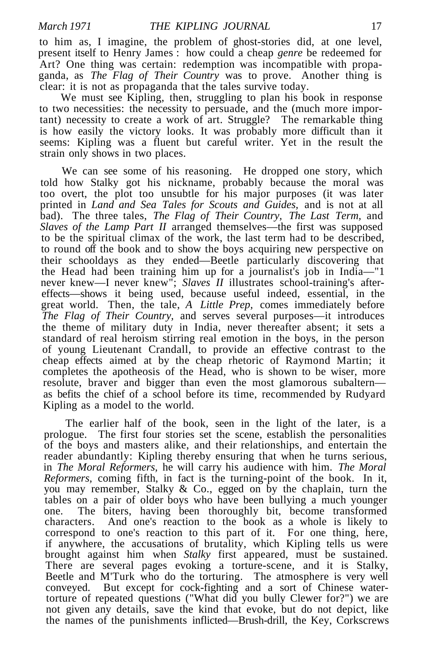to him as, I imagine, the problem of ghost-stories did, at one level, present itself to Henry James : how could a cheap *genre* be redeemed for Art? One thing was certain: redemption was incompatible with propaganda, as *The Flag of Their Country* was to prove. Another thing is clear: it is not as propaganda that the tales survive today.

We must see Kipling, then, struggling to plan his book in response to two necessities: the necessity to persuade, and the (much more important) necessity to create a work of art. Struggle? The remarkable thing is how easily the victory looks. It was probably more difficult than it seems: Kipling was a fluent but careful writer. Yet in the result the strain only shows in two places.

We can see some of his reasoning. He dropped one story, which told how Stalky got his nickname, probably because the moral was too overt, the plot too unsubtle for his major purposes (it was later printed in *Land and Sea Tales for Scouts and Guides,* and is not at all bad). The three tales, *The Flag of Their Country, The Last Term,* and *Slaves of the Lamp Part II* arranged themselves—the first was supposed to be the spiritual climax of the work, the last term had to be described, to round off the book and to show the boys acquiring new perspective on their schooldays as they ended—Beetle particularly discovering that the Head had been training him up for a journalist's job in India—"1 never knew—I never knew"; Slaves II illustrates school-training's aftereffects—shows it being used, because useful indeed, essential, in the great world. Then, the tale, *A Little Prep,* comes immediately before *The Flag of Their Country,* and serves several purposes—it introduces the theme of military duty in India, never thereafter absent; it sets a standard of real heroism stirring real emotion in the boys, in the person of young Lieutenant Crandall, to provide an effective contrast to the cheap effects aimed at by the cheap rhetoric of Raymond Martin; it completes the apotheosis of the Head, who is shown to be wiser, more resolute, braver and bigger than even the most glamorous subaltern as befits the chief of a school before its time, recommended by Rudyard Kipling as a model to the world.

The earlier half of the book, seen in the light of the later, is a prologue. The first four stories set the scene, establish the personalities of the boys and masters alike, and their relationships, and entertain the reader abundantly: Kipling thereby ensuring that when he turns serious, in *The Moral Reformers,* he will carry his audience with him. *The Moral Reformers,* coming fifth, in fact is the turning-point of the book. In it, you may remember, Stalky & Co., egged on by the chaplain, turn the tables on a pair of older boys who have been bullying a much younger one. The biters, having been thoroughly bit, become transformed characters. And one's reaction to the book as a whole is likely to correspond to one's reaction to this part of it. For one thing, here, if anywhere, the accusations of brutality, which Kipling tells us were brought against him when *Stalky* first appeared, must be sustained. There are several pages evoking a torture-scene, and it is Stalky, Beetle and M'Turk who do the torturing. The atmosphere is very well conveyed. But except for cock-fighting and a sort of Chinese watertorture of repeated questions ("What did you bully Clewer for?") we are not given any details, save the kind that evoke, but do not depict, like the names of the punishments inflicted—Brush-drill, the Key, Corkscrews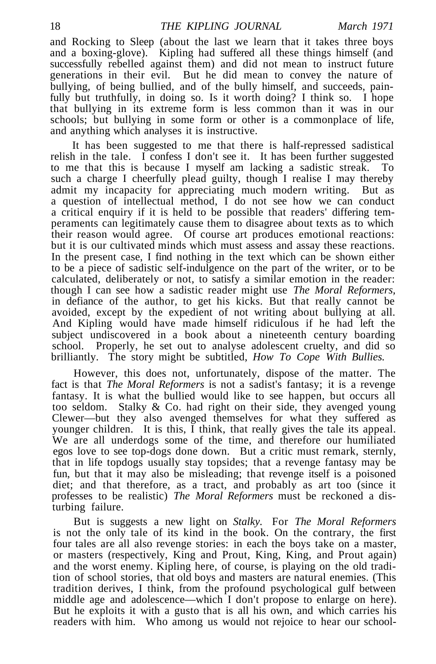and Rocking to Sleep (about the last we learn that it takes three boys and a boxing-glove). Kipling had suffered all these things himself (and successfully rebelled against them) and did not mean to instruct future generations in their evil. But he did mean to convey the nature of bullying, of being bullied, and of the bully himself, and succeeds, painfully but truthfully, in doing so. Is it worth doing? I think so. I hope that bullying in its extreme form is less common than it was in our schools; but bullying in some form or other is a commonplace of life, and anything which analyses it is instructive.

It has been suggested to me that there is half-repressed sadistical relish in the tale. I confess I don't see it. It has been further suggested to me that this is because I myself am lacking a sadistic streak. To such a charge I cheerfully plead guilty, though I realise I may thereby admit my incapacity for appreciating much modern writing. But as a question of intellectual method, I do not see how we can conduct a critical enquiry if it is held to be possible that readers' differing temperaments can legitimately cause them to disagree about texts as to which their reason would agree. Of course art produces emotional reactions: but it is our cultivated minds which must assess and assay these reactions. In the present case, I find nothing in the text which can be shown either to be a piece of sadistic self-indulgence on the part of the writer, or to be calculated, deliberately or not, to satisfy a similar emotion in the reader: though I can see how a sadistic reader might use *The Moral Reformers,* in defiance of the author, to get his kicks. But that really cannot be avoided, except by the expedient of not writing about bullying at all. And Kipling would have made himself ridiculous if he had left the subject undiscovered in a book about a nineteenth century boarding school. Properly, he set out to analyse adolescent cruelty, and did so brilliantly. The story might be subtitled, *How To Cope With Bullies.*

However, this does not, unfortunately, dispose of the matter. The fact is that *The Moral Reformers* is not a sadist's fantasy; it is a revenge fantasy. It is what the bullied would like to see happen, but occurs all too seldom. Stalky & Co. had right on their side, they avenged young Clewer—but they also avenged themselves for what they suffered as younger children. It is this,  $\check{I}$  think, that really gives the tale its appeal. We are all underdogs some of the time, and therefore our humiliated egos love to see top-dogs done down. But a critic must remark, sternly, that in life topdogs usually stay topsides; that a revenge fantasy may be fun, but that it may also be misleading; that revenge itself is a poisoned diet; and that therefore, as a tract, and probably as art too (since it professes to be realistic) *The Moral Reformers* must be reckoned a disturbing failure.

But is suggests a new light on *Stalky.* For *The Moral Reformers* is not the only tale of its kind in the book. On the contrary, the first four tales are all also revenge stories: in each the boys take on a master, or masters (respectively, King and Prout, King, King, and Prout again) and the worst enemy. Kipling here, of course, is playing on the old tradition of school stories, that old boys and masters are natural enemies. (This tradition derives, I think, from the profound psychological gulf between middle age and adolescence—which I don't propose to enlarge on here). But he exploits it with a gusto that is all his own, and which carries his readers with him. Who among us would not rejoice to hear our school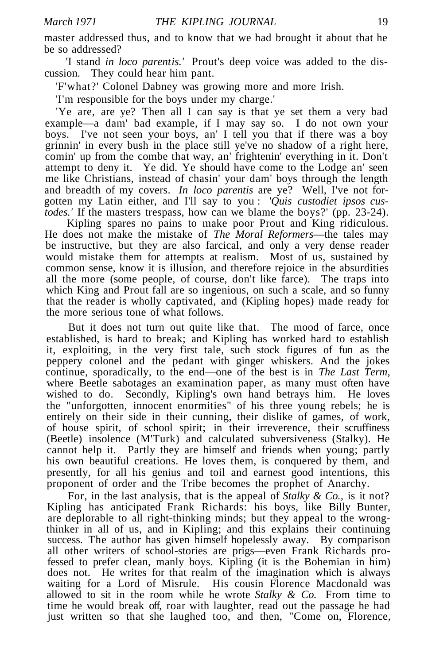master addressed thus, and to know that we had brought it about that he be so addressed?

'I stand *in loco parent is.'* Prout's deep voice was added to the discussion. They could hear him pant.

'F'what?' Colonel Dabney was growing more and more Irish.

'I'm responsible for the boys under my charge.'

'Ye are, are ye? Then all I can say is that ye set them a very bad example—a dam' bad example, if I may say so. I do not own your boys. I've not seen your boys, an' I tell you that if there was a boy grinnin' in every bush in the place still ye've no shadow of a right here, comin' up from the combe that way, an' frightenin' everything in it. Don't attempt to deny it. Ye did. Ye should have come to the Lodge an' seen me like Christians, instead of chasin' your dam' boys through the length and breadth of my covers. *In loco parentis* are ye? Well, I've not forgotten my Latin either, and I'll say to you : *'Quis custodiet ipsos custodes.'* If the masters trespass, how can we blame the boys?' (pp. 23-24).

Kipling spares no pains to make poor Prout and King ridiculous. He does not make the mistake of *The Moral Reformers*—the tales may be instructive, but they are also farcical, and only a very dense reader would mistake them for attempts at realism. Most of us, sustained by common sense, know it is illusion, and therefore rejoice in the absurdities all the more (some people, of course, don't like farce). The traps into which King and Prout fall are so ingenious, on such a scale, and so funny that the reader is wholly captivated, and (Kipling hopes) made ready for the more serious tone of what follows.

But it does not turn out quite like that. The mood of farce, once established, is hard to break; and Kipling has worked hard to establish it, exploiting, in the very first tale, such stock figures of fun as the peppery colonel and the pedant with ginger whiskers. And the jokes continue, sporadically, to the end—one of the best is in *The Last Term,* where Beetle sabotages an examination paper, as many must often have wished to do. Secondly, Kipling's own hand betrays him. He loves the "unforgotten, innocent enormities" of his three young rebels; he is entirely on their side in their cunning, their dislike of games, of work, of house spirit, of school spirit; in their irreverence, their scruffiness (Beetle) insolence (M'Turk) and calculated subversiveness (Stalky). He cannot help it. Partly they are himself and friends when young; partly his own beautiful creations. He loves them, is conquered by them, and presently, for all his genius and toil and earnest good intentions, this proponent of order and the Tribe becomes the prophet of Anarchy.

For, in the last analysis, that is the appeal of *Stalky & Co.,* is it not? Kipling has anticipated Frank Richards: his boys, like Billy Bunter, are deplorable to all right-thinking minds; but they appeal to the wrongthinker in all of us, and in Kipling; and this explains their continuing success. The author has given himself hopelessly away. By comparison all other writers of school-stories are prigs—even Frank Richards professed to prefer clean, manly boys. Kipling (it is the Bohemian in him) does not. He writes for that realm of the imagination which is always waiting for a Lord of Misrule. His cousin Florence Macdonald was allowed to sit in the room while he wrote *Stalky & Co.* From time to time he would break off, roar with laughter, read out the passage he had just written so that she laughed too, and then, "Come on, Florence,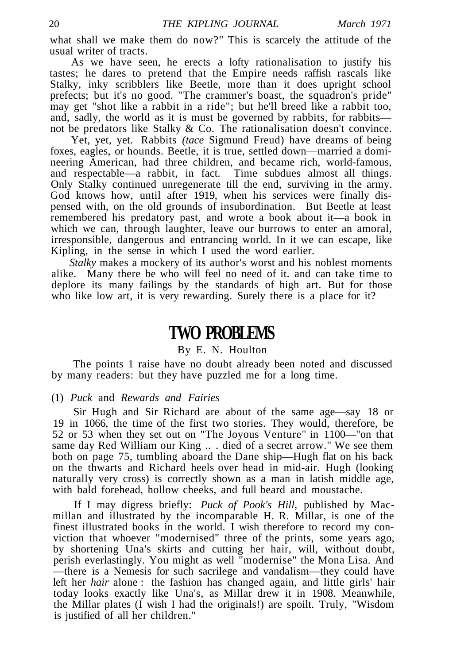what shall we make them do now?" This is scarcely the attitude of the usual writer of tracts.

As we have seen, he erects a lofty rationalisation to justify his tastes; he dares to pretend that the Empire needs raffish rascals like Stalky, inky scribblers like Beetle, more than it does upright school prefects; but it's no good. "The crammer's boast, the squadron's pride" may get "shot like a rabbit in a ride"; but he'll breed like a rabbit too, and, sadly, the world as it is must be governed by rabbits, for rabbits not be predators like Stalky & Co. The rationalisation doesn't convince.

Yet, yet, yet. Rabbits *(tace* Sigmund Freud) have dreams of being foxes, eagles, or hounds. Beetle, it is true, settled down—married a domineering American, had three children, and became rich, world-famous, and respectable—a rabbit, in fact. Time subdues almost all things. Only Stalky continued unregenerate till the end, surviving in the army. God knows how, until after 1919, when his services were finally dispensed with, on the old grounds of insubordination. But Beetle at least remembered his predatory past, and wrote a book about it—a book in which we can, through laughter, leave our burrows to enter an amoral, irresponsible, dangerous and entrancing world. In it we can escape, like Kipling, in the sense in which I used the word earlier.

*Stalky* makes a mockery of its author's worst and his noblest moments alike. Many there be who will feel no need of it. and can take time to deplore its many failings by the standards of high art. But for those who like low art, it is very rewarding. Surely there is a place for it?

### **TWO PROBLEMS**

#### By E. N. Houlton

The points 1 raise have no doubt already been noted and discussed by many readers: but they have puzzled me for a long time.

#### (1) *Puck* and *Rewards and Fairies*

Sir Hugh and Sir Richard are about of the same age—say 18 or 19 in 1066, the time of the first two stories. They would, therefore, be 52 or 53 when they set out on "The Joyous Venture" in 1100—"on that same day Red William our King .. . died of a secret arrow." We see them both on page 75, tumbling aboard the Dane ship—Hugh flat on his back on the thwarts and Richard heels over head in mid-air. Hugh (looking naturally very cross) is correctly shown as a man in latish middle age, with bald forehead, hollow cheeks, and full beard and moustache.

If I may digress briefly: *Puck of Pook's Hill,* published by Macmillan and illustrated by the incomparable H. R. Millar, is one of the finest illustrated books in the world. I wish therefore to record my conviction that whoever "modernised" three of the prints, some years ago, by shortening Una's skirts and cutting her hair, will, without doubt, perish everlastingly. You might as well "modernise" the Mona Lisa. And —there is a Nemesis for such sacrilege and vandalism—they could have left her *hair* alone : the fashion has changed again, and little girls' hair today looks exactly like Una's, as Millar drew it in 1908. Meanwhile, the Millar plates (I wish I had the originals!) are spoilt. Truly, "Wisdom is justified of all her children."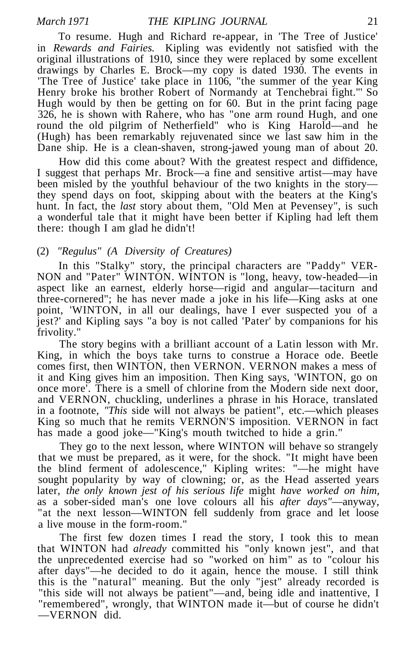To resume. Hugh and Richard re-appear, in 'The Tree of Justice' in *Rewards and Fairies.* Kipling was evidently not satisfied with the original illustrations of 1910, since they were replaced by some excellent drawings by Charles E. Brock—my copy is dated 1930. The events in 'The Tree of Justice' take place in 1106, "the summer of the year King Henry broke his brother Robert of Normandy at Tenchebrai fight."' So Hugh would by then be getting on for 60. But in the print facing page 326, he is shown with Rahere, who has "one arm round Hugh, and one round the old pilgrim of Netherfield" who is King Harold—and he (Hugh) has been remarkably rejuvenated since we last saw him in the Dane ship. He is a clean-shaven, strong-jawed young man of about 20.

How did this come about? With the greatest respect and diffidence, I suggest that perhaps Mr. Brock—a fine and sensitive artist—may have been misled by the youthful behaviour of the two knights in the story they spend days on foot, skipping about with the beaters at the King's hunt. In fact, the *last* story about them, "Old Men at Pevensey", is such a wonderful tale that it might have been better if Kipling had left them there: though I am glad he didn't!

#### (2) *"Regulus" (A Diversity of Creatures)*

In this "Stalky" story, the principal characters are "Paddy" VER-NON and "Pater" WINTON. WINTON is "long, heavy, tow-headed—in aspect like an earnest, elderly horse—rigid and angular—taciturn and three-cornered"; he has never made a joke in his life—King asks at one point, 'WINTON, in all our dealings, have I ever suspected you of a jest?' and Kipling says "a boy is not called 'Pater' by companions for his frivolity."

The story begins with a brilliant account of a Latin lesson with Mr. King, in which the boys take turns to construe a Horace ode. Beetle comes first, then WINTON, then VERNON. VERNON makes a mess of it and King gives him an imposition. Then King says, 'WINTON, go on once more'. There is a smell of chlorine from the Modern side next door, and VERNON, chuckling, underlines a phrase in his Horace, translated in a footnote, *"This* side will not always be patient", etc.—which pleases King so much that he remits VERNON'S imposition. VERNON in fact has made a good joke—"King's mouth twitched to hide a grin."

They go to the next lesson, where WINTON will behave so strangely that we must be prepared, as it were, for the shock. "It might have been the blind ferment of adolescence," Kipling writes: "—he might have sought popularity by way of clowning; or, as the Head asserted years later, *the only known jest of his serious life* might *have worked on him,* as a sober-sided man's one love colours all his *after days"*—anyway, "at the next lesson—WINTON fell suddenly from grace and let loose a live mouse in the form-room."

The first few dozen times I read the story, I took this to mean that WINTON had *already* committed his "only known jest", and that the unprecedented exercise had so "worked on him" as to "colour his after days"—he decided to do it again, hence the mouse. I still think this is the "natural" meaning. But the only "jest" already recorded is "this side will not always be patient"—and, being idle and inattentive, I "remembered", wrongly, that WINTON made it—but of course he didn't —VERNON did.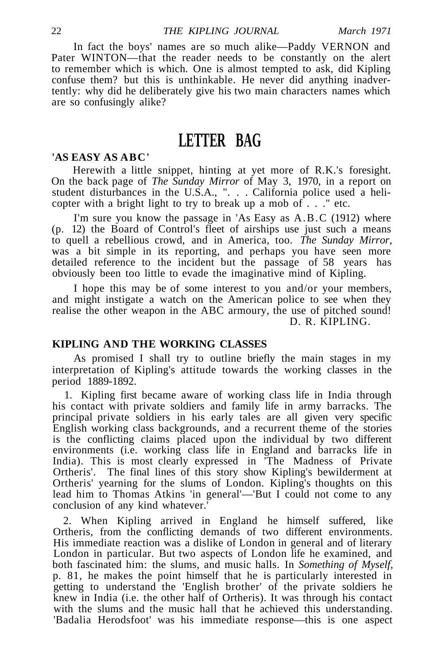In fact the boys' names are so much alike—Paddy VERNON and Pater WINTON—that the reader needs to be constantly on the alert to remember which is which. One is almost tempted to ask, did Kipling confuse them? but this is unthinkable. He never did anything inadvertently: why did he deliberately give his two main characters names which are so confusingly alike?

## **LETTER BAG**

#### **'AS EASY AS ABC'**

Herewith a little snippet, hinting at yet more of R.K.'s foresight. On the back page of *The Sunday Mirror* of May 3, 1970, in a report on student disturbances in the U.S.A., ". . . California police used a helicopter with a bright light to try to break up a mob of  $\ldots$  " etc.

I'm sure you know the passage in 'As Easy as A.B.C (1912) where (p. 12) the Board of Control's fleet of airships use just such a means to quell a rebellious crowd, and in America, too. *The Sunday Mirror,* was a bit simple in its reporting, and perhaps you have seen more detailed reference to the incident but the passage of 58 years has obviously been too little to evade the imaginative mind of Kipling.

I hope this may be of some interest to you and/or your members, and might instigate a watch on the American police to see when they realise the other weapon in the ABC armoury, the use of pitched sound! D. R. KIPLING.

#### **KIPLING AND THE WORKING CLASSES**

As promised I shall try to outline briefly the main stages in my interpretation of Kipling's attitude towards the working classes in the period 1889-1892.

1. Kipling first became aware of working class life in India through his contact with private soldiers and family life in army barracks. The principal private soldiers in his early tales are all given very specific English working class backgrounds, and a recurrent theme of the stories is the conflicting claims placed upon the individual by two different environments (i.e. working class life in England and barracks life in India). This is most clearly expressed in 'The Madness of Private Ortheris'. The final lines of this story show Kipling's bewilderment at Ortheris' yearning for the slums of London. Kipling's thoughts on this lead him to Thomas Atkins 'in general'—'But I could not come to any conclusion of any kind whatever.'

2. When Kipling arrived in England he himself suffered, like Ortheris, from the conflicting demands of two different environments. His immediate reaction was a dislike of London in general and of literary London in particular. But two aspects of London life he examined, and both fascinated him: the slums, and music halls. In *Something of Myself,* p. 81, he makes the point himself that he is particularly interested in getting to understand the 'English brother' of the private soldiers he knew in India (i.e. the other half of Ortheris). It was through his contact with the slums and the music hall that he achieved this understanding. 'Badalia Herodsfoot' was his immediate response—this is one aspect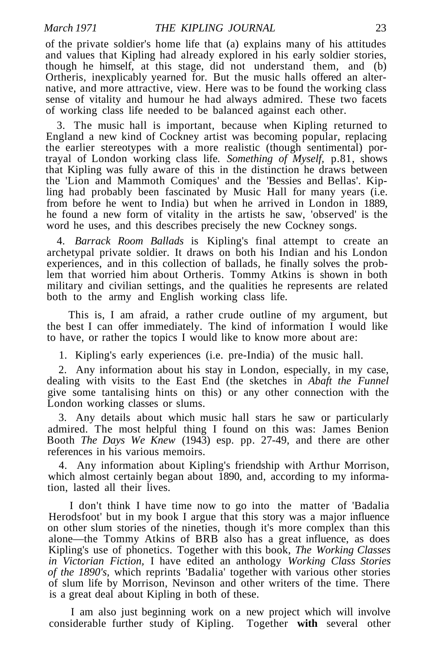of the private soldier's home life that (a) explains many of his attitudes and values that Kipling had already explored in his early soldier stories, though he himself, at this stage, did not understand them, and (b) Ortheris, inexplicably yearned for. But the music halls offered an alternative, and more attractive, view. Here was to be found the working class sense of vitality and humour he had always admired. These two facets of working class life needed to be balanced against each other.

3. The music hall is important, because when Kipling returned to England a new kind of Cockney artist was becoming popular, replacing the earlier stereotypes with a more realistic (though sentimental) portrayal of London working class life. *Something of Myself,* p.81, shows that Kipling was fully aware of this in the distinction he draws between the 'Lion and Mammoth Comiques' and the 'Bessies and Bellas'. Kipling had probably been fascinated by Music Hall for many years (i.e. from before he went to India) but when he arrived in London in 1889, he found a new form of vitality in the artists he saw, 'observed' is the word he uses, and this describes precisely the new Cockney songs.

4. *Barrack Room Ballads* is Kipling's final attempt to create an archetypal private soldier. It draws on both his Indian and his London experiences, and in this collection of ballads, he finally solves the problem that worried him about Ortheris. Tommy Atkins is shown in both military and civilian settings, and the qualities he represents are related both to the army and English working class life.

This is, I am afraid, a rather crude outline of my argument, but the best I can offer immediately. The kind of information  $\tilde{I}$  would like to have, or rather the topics I would like to know more about are:

1. Kipling's early experiences (i.e. pre-India) of the music hall.

2. Any information about his stay in London, especially, in my case, dealing with visits to the East End (the sketches in *Abaft the Funnel* give some tantalising hints on this) or any other connection with the London working classes or slums.

3. Any details about which music hall stars he saw or particularly admired. The most helpful thing I found on this was: James Benion Booth *The Days We Knew* (1943) esp. pp. 27-49, and there are other references in his various memoirs.

4. Any information about Kipling's friendship with Arthur Morrison, which almost certainly began about 1890, and, according to my information, lasted all their lives.

I don't think I have time now to go into the matter of 'Badalia Herodsfoot' but in my book I argue that this story was a major influence on other slum stories of the nineties, though it's more complex than this alone—the Tommy Atkins of BRB also has a great influence, as does Kipling's use of phonetics. Together with this book, *The Working Classes in Victorian Fiction,* I have edited an anthology *Working Class Stories of the 1890's,* which reprints 'Badalia' together with various other stories of slum life by Morrison, Nevinson and other writers of the time. There is a great deal about Kipling in both of these.

I am also just beginning work on a new project which will involve considerable further study of Kipling. Together **with** several other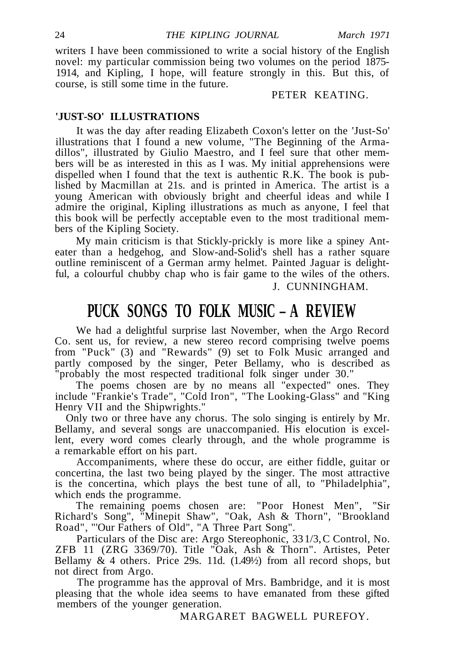writers I have been commissioned to write a social history of the English novel: my particular commission being two volumes on the period 1875- 1914, and Kipling, I hope, will feature strongly in this. But this, of course, is still some time in the future.

PETER KEATING.

#### **'JUST-SO' ILLUSTRATIONS**

It was the day after reading Elizabeth Coxon's letter on the 'Just-So' illustrations that I found a new volume, "The Beginning of the Armadillos", illustrated by Giulio Maestro, and I feel sure that other members will be as interested in this as I was. My initial apprehensions were dispelled when I found that the text is authentic R.K. The book is published by Macmillan at 21s. and is printed in America. The artist is a young American with obviously bright and cheerful ideas and while I admire the original, Kipling illustrations as much as anyone, I feel that this book will be perfectly acceptable even to the most traditional members of the Kipling Society.

My main criticism is that Stickly-prickly is more like a spiney Anteater than a hedgehog, and Slow-and-Solid's shell has a rather square outline reminiscent of a German army helmet. Painted Jaguar is delightful, a colourful chubby chap who is fair game to the wiles of the others.

#### J. CUNNINGHAM.

## **PUCK SONGS TO FOLK MUSIC – A REVIEW**

We had a delightful surprise last November, when the Argo Record Co. sent us, for review, a new stereo record comprising twelve poems from "Puck" (3) and "Rewards" (9) set to Folk Music arranged and partly composed by the singer, Peter Bellamy, who is described as "probably the most respected traditional folk singer under 30."

The poems chosen are by no means all "expected" ones. They include "Frankie's Trade", "Cold Iron", "The Looking-Glass" and "King Henry VII and the Shipwrights."

Only two or three have any chorus. The solo singing is entirely by Mr. Bellamy, and several songs are unaccompanied. His elocution is excellent, every word comes clearly through, and the whole programme is a remarkable effort on his part.

Accompaniments, where these do occur, are either fiddle, guitar or concertina, the last two being played by the singer. The most attractive is the concertina, which plays the best tune of all, to "Philadelphia", which ends the programme.

The remaining poems chosen are: "Poor Honest Men", "Sir Richard's Song", "Minepit Shaw", "Oak, Ash & Thorn", "Brookland Road", "'Our Fathers of Old", "A Three Part Song".

Particulars of the Disc are: Argo Stereophonic, 33 1/3, C Control, No. ZFB 11 (ZRG 3369/70). Title "Oak, Ash & Thorn". Artistes, Peter Bellamy  $& 4$  others. Price 29s. 11d.  $(1.49\%)$  from all record shops, but not direct from Argo.

The programme has the approval of Mrs. Bambridge, and it is most pleasing that the whole idea seems to have emanated from these gifted members of the younger generation.

MARGARET BAGWELL PUREFOY.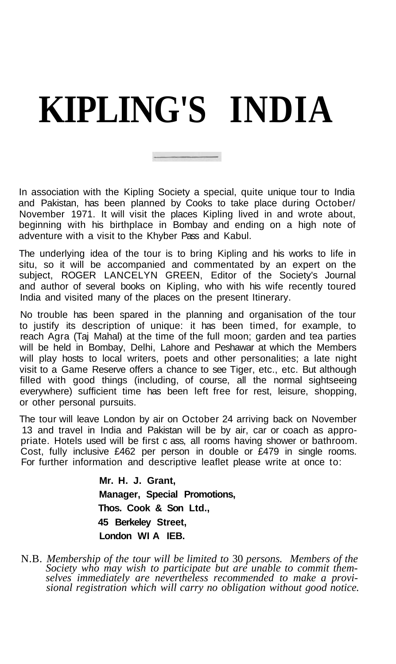# **KIPLING'S INDIA**

In association with the Kipling Society a special, quite unique tour to India and Pakistan, has been planned by Cooks to take place during October/ November 1971. It will visit the places Kipling lived in and wrote about, beginning with his birthplace in Bombay and ending on a high note of adventure with a visit to the Khyber Pass and Kabul.

The underlying idea of the tour is to bring Kipling and his works to life in situ, so it will be accompanied and commentated by an expert on the subject, ROGER LANCELYN GREEN, Editor of the Society's Journal and author of several books on Kipling, who with his wife recently toured India and visited many of the places on the present Itinerary.

No trouble has been spared in the planning and organisation of the tour to justify its description of unique: it has been timed, for example, to reach Agra (Taj Mahal) at the time of the full moon; garden and tea parties will be held in Bombay, Delhi, Lahore and Peshawar at which the Members will play hosts to local writers, poets and other personalities; a late night visit to a Game Reserve offers a chance to see Tiger, etc., etc. But although filled with good things (including, of course, all the normal sightseeing everywhere) sufficient time has been left free for rest, leisure, shopping, or other personal pursuits.

The tour will leave London by air on October 24 arriving back on November 13 and travel in India and Pakistan will be by air, car or coach as appropriate. Hotels used will be first c ass, all rooms having shower or bathroom. Cost, fully inclusive £462 per person in double or £479 in single rooms. For further information and descriptive leaflet please write at once to:

> **Mr. H. J. Grant, Manager, Special Promotions, Thos. Cook & Son Ltd., 45 Berkeley Street, London WI A IEB.**

N.B. *Membership of the tour will be limited to* 30 *persons. Members of the Society who may wish to participate but are unable to commit themselves immediately are nevertheless recommended to make a provisional registration which will carry no obligation without good notice.*